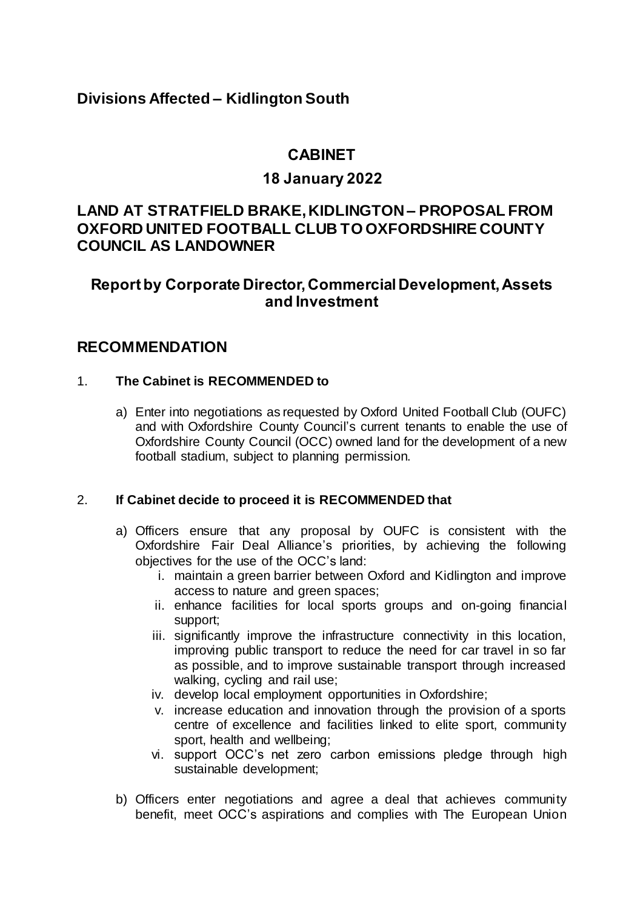## **Divisions Affected – Kidlington South**

## **CABINET**

### **18 January 2022**

## **LAND AT STRATFIELD BRAKE, KIDLINGTON – PROPOSAL FROM OXFORD UNITED FOOTBALL CLUB TO OXFORDSHIRE COUNTY COUNCIL AS LANDOWNER**

## **Report by Corporate Director, Commercial Development, Assets and Investment**

## **RECOMMENDATION**

### 1. **The Cabinet is RECOMMENDED to**

a) Enter into negotiations as requested by Oxford United Football Club (OUFC) and with Oxfordshire County Council's current tenants to enable the use of Oxfordshire County Council (OCC) owned land for the development of a new football stadium, subject to planning permission.

#### 2. **If Cabinet decide to proceed it is RECOMMENDED that**

- a) Officers ensure that any proposal by OUFC is consistent with the Oxfordshire Fair Deal Alliance's priorities, by achieving the following objectives for the use of the OCC's land:
	- i. maintain a green barrier between Oxford and Kidlington and improve access to nature and green spaces;
	- ii. enhance facilities for local sports groups and on-going financial support;
	- iii. significantly improve the infrastructure connectivity in this location, improving public transport to reduce the need for car travel in so far as possible, and to improve sustainable transport through increased walking, cycling and rail use;
	- iv. develop local employment opportunities in Oxfordshire;
	- v. increase education and innovation through the provision of a sports centre of excellence and facilities linked to elite sport, community sport, health and wellbeing;
	- vi. support OCC's net zero carbon emissions pledge through high sustainable development;
- b) Officers enter negotiations and agree a deal that achieves community benefit, meet OCC's aspirations and complies with The European Union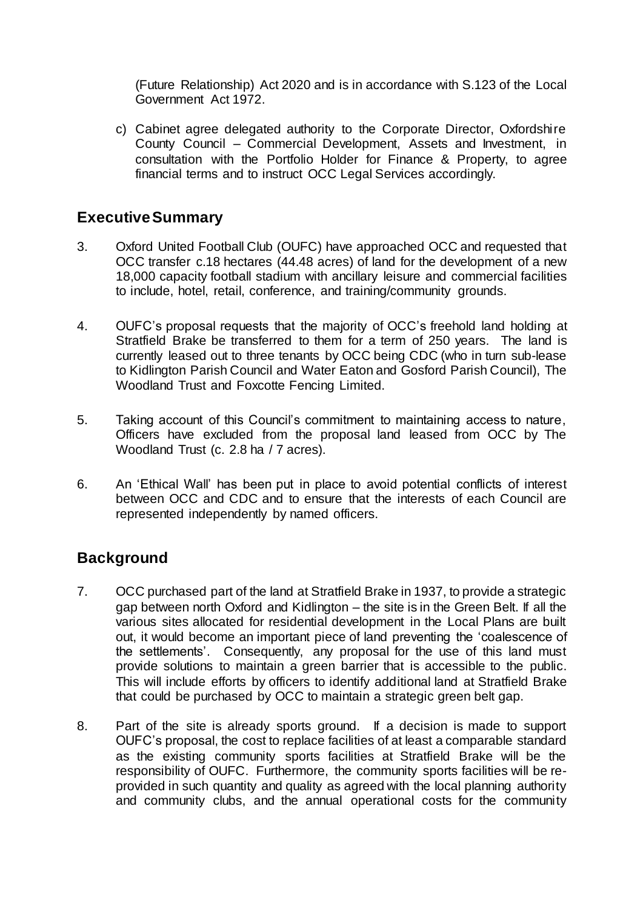(Future Relationship) Act 2020 and is in accordance with S.123 of the Local Government Act 1972.

c) Cabinet agree delegated authority to the Corporate Director, Oxfordshire County Council – Commercial Development, Assets and Investment, in consultation with the Portfolio Holder for Finance & Property, to agree financial terms and to instruct OCC Legal Services accordingly.

## **Executive Summary**

- 3. Oxford United Football Club (OUFC) have approached OCC and requested that OCC transfer c.18 hectares (44.48 acres) of land for the development of a new 18,000 capacity football stadium with ancillary leisure and commercial facilities to include, hotel, retail, conference, and training/community grounds.
- 4. OUFC's proposal requests that the majority of OCC's freehold land holding at Stratfield Brake be transferred to them for a term of 250 years. The land is currently leased out to three tenants by OCC being CDC (who in turn sub-lease to Kidlington Parish Council and Water Eaton and Gosford Parish Council), The Woodland Trust and Foxcotte Fencing Limited.
- 5. Taking account of this Council's commitment to maintaining access to nature, Officers have excluded from the proposal land leased from OCC by The Woodland Trust (c. 2.8 ha / 7 acres).
- 6. An 'Ethical Wall' has been put in place to avoid potential conflicts of interest between OCC and CDC and to ensure that the interests of each Council are represented independently by named officers.

## **Background**

- 7. OCC purchased part of the land at Stratfield Brake in 1937, to provide a strategic gap between north Oxford and Kidlington – the site is in the Green Belt. If all the various sites allocated for residential development in the Local Plans are built out, it would become an important piece of land preventing the 'coalescence of the settlements'. Consequently, any proposal for the use of this land must provide solutions to maintain a green barrier that is accessible to the public. This will include efforts by officers to identify additional land at Stratfield Brake that could be purchased by OCC to maintain a strategic green belt gap.
- 8. Part of the site is already sports ground. If a decision is made to support OUFC's proposal, the cost to replace facilities of at least a comparable standard as the existing community sports facilities at Stratfield Brake will be the responsibility of OUFC. Furthermore, the community sports facilities will be reprovided in such quantity and quality as agreed with the local planning authority and community clubs, and the annual operational costs for the community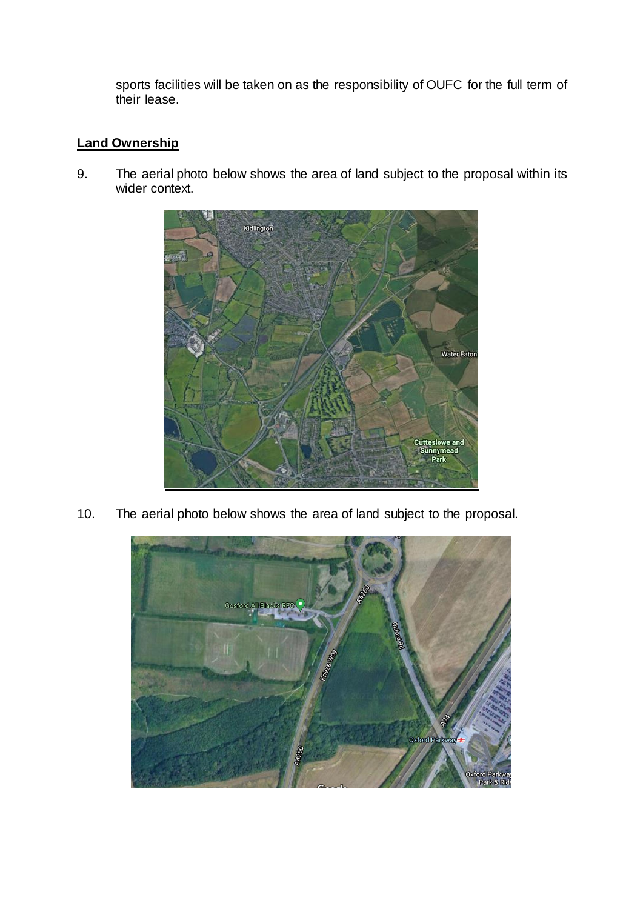sports facilities will be taken on as the responsibility of OUFC for the full term of their lease.

### **Land Ownership**

9. The aerial photo below shows the area of land subject to the proposal within its wider context.



10. The aerial photo below shows the area of land subject to the proposal.

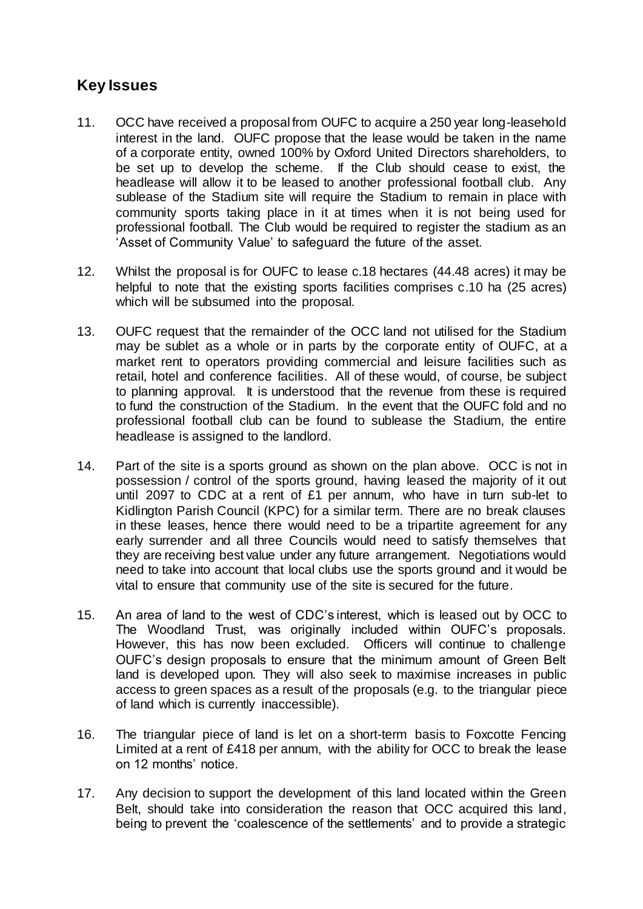## **Key Issues**

- 11. OCC have received a proposal from OUFC to acquire a 250 year long-leasehold interest in the land. OUFC propose that the lease would be taken in the name of a corporate entity, owned 100% by Oxford United Directors shareholders, to be set up to develop the scheme. If the Club should cease to exist, the headlease will allow it to be leased to another professional football club. Any sublease of the Stadium site will require the Stadium to remain in place with community sports taking place in it at times when it is not being used for professional football. The Club would be required to register the stadium as an 'Asset of Community Value' to safeguard the future of the asset.
- 12. Whilst the proposal is for OUFC to lease c.18 hectares (44.48 acres) it may be helpful to note that the existing sports facilities comprises c.10 ha (25 acres) which will be subsumed into the proposal.
- 13. OUFC request that the remainder of the OCC land not utilised for the Stadium may be sublet as a whole or in parts by the corporate entity of OUFC, at a market rent to operators providing commercial and leisure facilities such as retail, hotel and conference facilities. All of these would, of course, be subject to planning approval. It is understood that the revenue from these is required to fund the construction of the Stadium. In the event that the OUFC fold and no professional football club can be found to sublease the Stadium, the entire headlease is assigned to the landlord.
- 14. Part of the site is a sports ground as shown on the plan above. OCC is not in possession / control of the sports ground, having leased the majority of it out until 2097 to CDC at a rent of £1 per annum, who have in turn sub-let to Kidlington Parish Council (KPC) for a similar term. There are no break clauses in these leases, hence there would need to be a tripartite agreement for any early surrender and all three Councils would need to satisfy themselves that they are receiving best value under any future arrangement. Negotiations would need to take into account that local clubs use the sports ground and it would be vital to ensure that community use of the site is secured for the future.
- 15. An area of land to the west of CDC's interest, which is leased out by OCC to The Woodland Trust, was originally included within OUFC's proposals. However, this has now been excluded. Officers will continue to challenge OUFC's design proposals to ensure that the minimum amount of Green Belt land is developed upon. They will also seek to maximise increases in public access to green spaces as a result of the proposals (e.g. to the triangular piece of land which is currently inaccessible).
- 16. The triangular piece of land is let on a short-term basis to Foxcotte Fencing Limited at a rent of £418 per annum, with the ability for OCC to break the lease on 12 months' notice.
- 17. Any decision to support the development of this land located within the Green Belt, should take into consideration the reason that OCC acquired this land, being to prevent the 'coalescence of the settlements' and to provide a strategic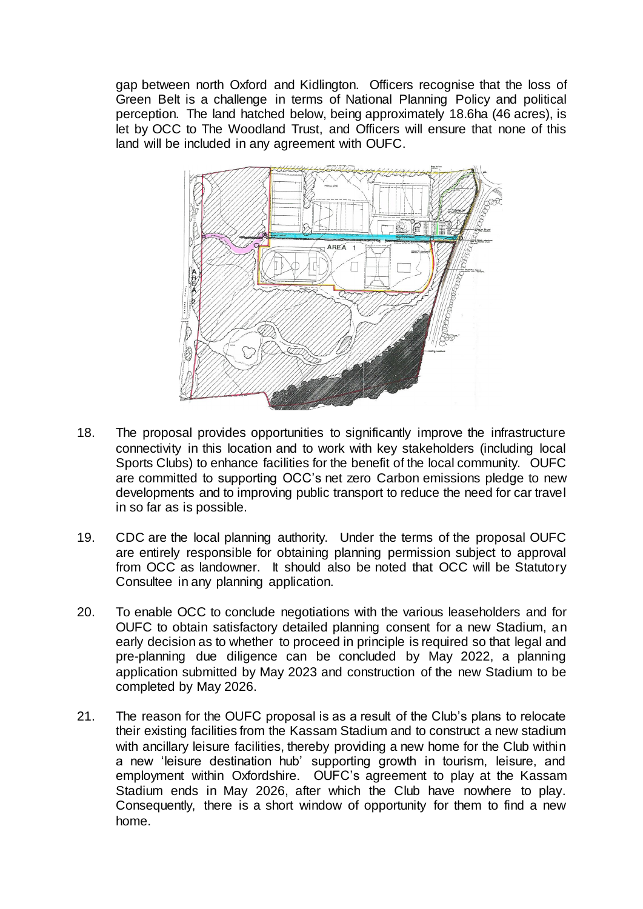gap between north Oxford and Kidlington. Officers recognise that the loss of Green Belt is a challenge in terms of National Planning Policy and political perception. The land hatched below, being approximately 18.6ha (46 acres), is let by OCC to The Woodland Trust, and Officers will ensure that none of this land will be included in any agreement with OUFC.



- 18. The proposal provides opportunities to significantly improve the infrastructure connectivity in this location and to work with key stakeholders (including local Sports Clubs) to enhance facilities for the benefit of the local community. OUFC are committed to supporting OCC's net zero Carbon emissions pledge to new developments and to improving public transport to reduce the need for car travel in so far as is possible.
- 19. CDC are the local planning authority. Under the terms of the proposal OUFC are entirely responsible for obtaining planning permission subject to approval from OCC as landowner. It should also be noted that OCC will be Statutory Consultee in any planning application.
- 20. To enable OCC to conclude negotiations with the various leaseholders and for OUFC to obtain satisfactory detailed planning consent for a new Stadium, an early decision as to whether to proceed in principle is required so that legal and pre-planning due diligence can be concluded by May 2022, a planning application submitted by May 2023 and construction of the new Stadium to be completed by May 2026.
- 21. The reason for the OUFC proposal is as a result of the Club's plans to relocate their existing facilities from the Kassam Stadium and to construct a new stadium with ancillary leisure facilities, thereby providing a new home for the Club within a new 'leisure destination hub' supporting growth in tourism, leisure, and employment within Oxfordshire. OUFC's agreement to play at the Kassam Stadium ends in May 2026, after which the Club have nowhere to play. Consequently, there is a short window of opportunity for them to find a new home.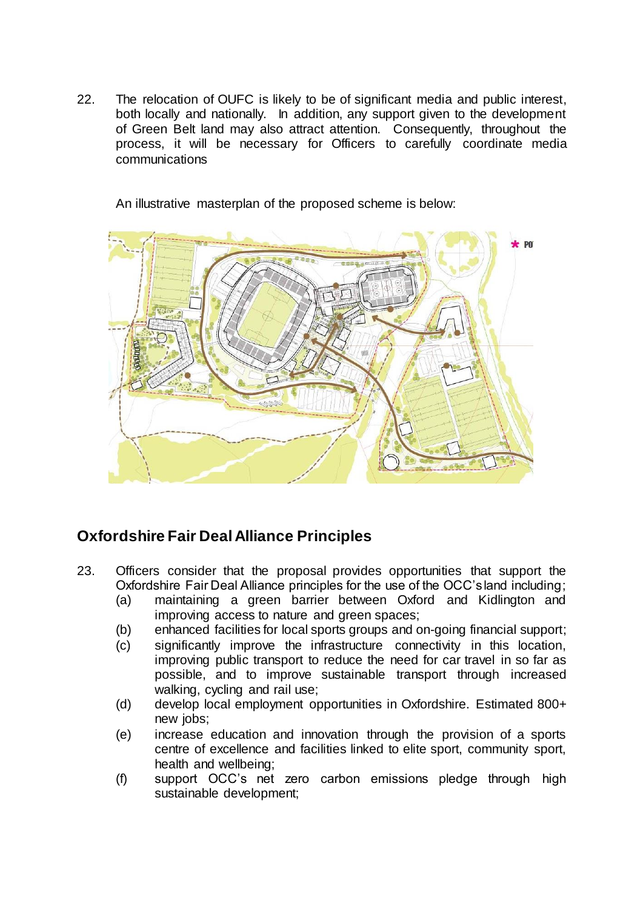22. The relocation of OUFC is likely to be of significant media and public interest, both locally and nationally. In addition, any support given to the development of Green Belt land may also attract attention. Consequently, throughout the process, it will be necessary for Officers to carefully coordinate media communications

An illustrative masterplan of the proposed scheme is below:



# **Oxfordshire Fair Deal Alliance Principles**

- 23. Officers consider that the proposal provides opportunities that support the Oxfordshire Fair Deal Alliance principles for the use of the OCC's land including;
	- (a) maintaining a green barrier between Oxford and Kidlington and improving access to nature and green spaces;
	- (b) enhanced facilities for local sports groups and on-going financial support;
	- (c) significantly improve the infrastructure connectivity in this location, improving public transport to reduce the need for car travel in so far as possible, and to improve sustainable transport through increased walking, cycling and rail use;
	- (d) develop local employment opportunities in Oxfordshire. Estimated 800+ new jobs;
	- (e) increase education and innovation through the provision of a sports centre of excellence and facilities linked to elite sport, community sport, health and wellbeing;
	- (f) support OCC's net zero carbon emissions pledge through high sustainable development;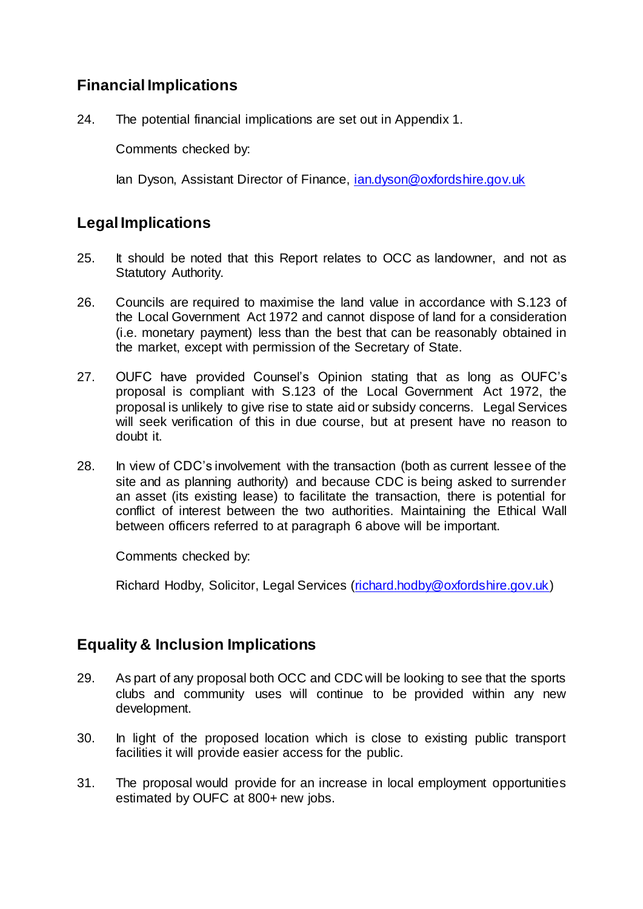# **Financial Implications**

24. The potential financial implications are set out in Appendix 1.

Comments checked by:

Ian Dyson, Assistant Director of Finance, [ian.dyson@oxfordshire.gov.uk](mailto:ian.dyson@oxfordshire.gov.uk)

## **Legal Implications**

- 25. It should be noted that this Report relates to OCC as landowner, and not as Statutory Authority.
- 26. Councils are required to maximise the land value in accordance with S.123 of the Local Government Act 1972 and cannot dispose of land for a consideration (i.e. monetary payment) less than the best that can be reasonably obtained in the market, except with permission of the Secretary of State.
- 27. OUFC have provided Counsel's Opinion stating that as long as OUFC's proposal is compliant with S.123 of the Local Government Act 1972, the proposal is unlikely to give rise to state aid or subsidy concerns. Legal Services will seek verification of this in due course, but at present have no reason to doubt it.
- 28. In view of CDC's involvement with the transaction (both as current lessee of the site and as planning authority) and because CDC is being asked to surrender an asset (its existing lease) to facilitate the transaction, there is potential for conflict of interest between the two authorities. Maintaining the Ethical Wall between officers referred to at paragraph 6 above will be important.

Comments checked by:

Richard Hodby, Solicitor, Legal Services [\(richard.hodby@oxfordshire.gov.uk\)](mailto:richard.hodby@oxfordshire.gov.uk) 

## **Equality & Inclusion Implications**

- 29. As part of any proposal both OCC and CDC will be looking to see that the sports clubs and community uses will continue to be provided within any new development.
- 30. In light of the proposed location which is close to existing public transport facilities it will provide easier access for the public.
- 31. The proposal would provide for an increase in local employment opportunities estimated by OUFC at 800+ new jobs.